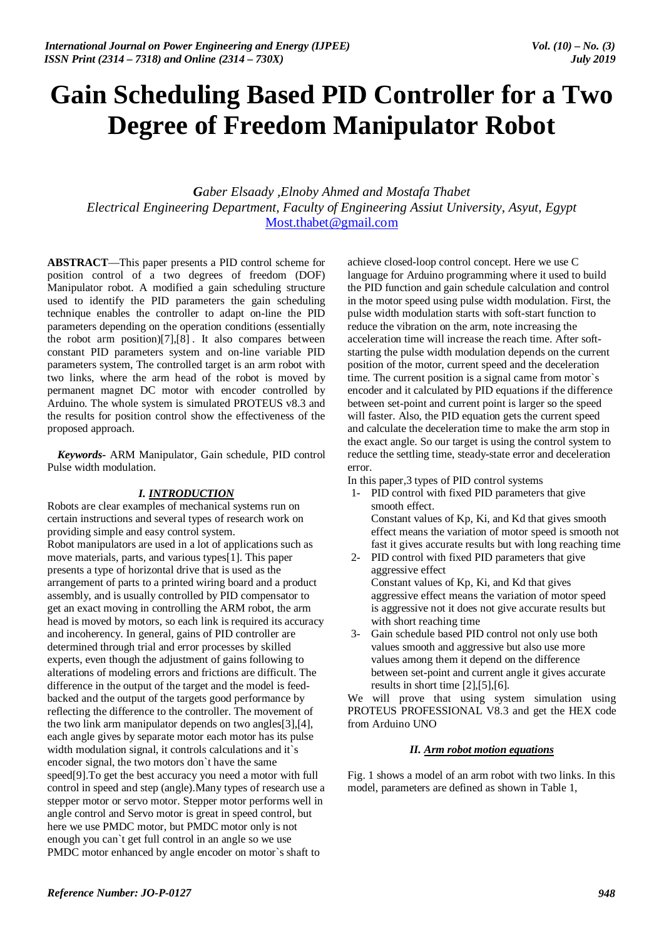# **Gain Scheduling Based PID Controller for a Two Degree of Freedom Manipulator Robot**

*Gaber Elsaady ,Elnoby Ahmed and Mostafa Thabet Electrical Engineering Department, Faculty of Engineering Assiut University, Asyut, Egypt*  Most.thabet@gmail.com

**ABSTRACT**—This paper presents a PID control scheme for position control of a two degrees of freedom (DOF) Manipulator robot. A modified a gain scheduling structure used to identify the PID parameters the gain scheduling technique enables the controller to adapt on-line the PID parameters depending on the operation conditions (essentially the robot arm position)[7],[8] . It also compares between constant PID parameters system and on-line variable PID parameters system, The controlled target is an arm robot with two links, where the arm head of the robot is moved by permanent magnet DC motor with encoder controlled by Arduino. The whole system is simulated PROTEUS v8.3 and the results for position control show the effectiveness of the proposed approach.

*Keywords***-** ARM Manipulator, Gain schedule, PID control Pulse width modulation.

#### *I. INTRODUCTION*

Robots are clear examples of mechanical systems run on certain instructions and several types of research work on providing simple and easy control system. Robot manipulators are used in a lot of applications such as move materials, parts, and various types[1]. This paper presents a type of horizontal drive that is used as the arrangement of parts to a printed wiring board and a product assembly, and is usually controlled by PID compensator to get an exact moving in controlling the ARM robot, the arm head is moved by motors, so each link is required its accuracy and incoherency. In general, gains of PID controller are determined through trial and error processes by skilled experts, even though the adjustment of gains following to alterations of modeling errors and frictions are difficult. The difference in the output of the target and the model is feedbacked and the output of the targets good performance by reflecting the difference to the controller. The movement of the two link arm manipulator depends on two angles[3],[4], each angle gives by separate motor each motor has its pulse width modulation signal, it controls calculations and it`s encoder signal, the two motors don`t have the same speed[9].To get the best accuracy you need a motor with full control in speed and step (angle).Many types of research use a stepper motor or servo motor. Stepper motor performs well in angle control and Servo motor is great in speed control, but here we use PMDC motor, but PMDC motor only is not enough you can`t get full control in an angle so we use PMDC motor enhanced by angle encoder on motor`s shaft to

achieve closed-loop control concept. Here we use C language for Arduino programming where it used to build the PID function and gain schedule calculation and control in the motor speed using pulse width modulation. First, the pulse width modulation starts with soft-start function to reduce the vibration on the arm, note increasing the acceleration time will increase the reach time. After softstarting the pulse width modulation depends on the current position of the motor, current speed and the deceleration time. The current position is a signal came from motor`s encoder and it calculated by PID equations if the difference between set-point and current point is larger so the speed will faster. Also, the PID equation gets the current speed and calculate the deceleration time to make the arm stop in the exact angle. So our target is using the control system to reduce the settling time, steady-state error and deceleration error.

In this paper,3 types of PID control systems

- 1- PID control with fixed PID parameters that give smooth effect. Constant values of Kp, Ki, and Kd that gives smooth effect means the variation of motor speed is smooth not fast it gives accurate results but with long reaching time
- 2- PID control with fixed PID parameters that give aggressive effect Constant values of Kp, Ki, and Kd that gives aggressive effect means the variation of motor speed is aggressive not it does not give accurate results but with short reaching time
- 3- Gain schedule based PID control not only use both values smooth and aggressive but also use more values among them it depend on the difference between set-point and current angle it gives accurate results in short time [2],[5],[6].

We will prove that using system simulation using PROTEUS PROFESSIONAL V8.3 and get the HEX code from Arduino UNO

### *II. Arm robot motion equations*

Fig. 1 shows a model of an arm robot with two links. In this model, parameters are defined as shown in Table 1,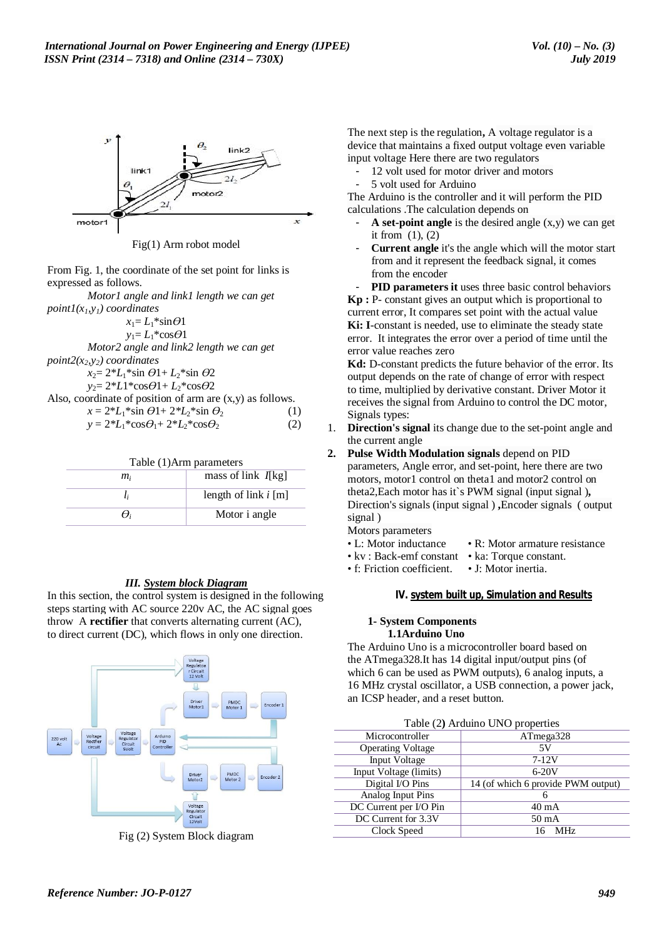

Fig(1) Arm robot model

From Fig. 1, the coordinate of the set point for links is expressed as follows.

*Motor1 angle and link1 length we can get point* $I(x_l, y_l)$  *coordinates* 

| $x_1 = L_1$ *sin $\Theta$ 1                                           |     |
|-----------------------------------------------------------------------|-----|
| $y_1 = L_1^* \cos \theta 1$                                           |     |
| Motor2 angle and link2 length we can get                              |     |
| $point2(x_2, y_2)$ coordinates                                        |     |
| $x_2 = 2 L_1 * \sin \theta 1 + L_2 * \sin \theta 2$                   |     |
| $y_2 = 2 * L1 * cos\theta_1 + L_2 * cos\theta_2$                      |     |
| Also, coordinate of position of arm are $(x, y)$ as follows.          |     |
| $x = 2 \cdot L_1 \cdot \sin \theta + 2 \cdot L_2 \cdot \sin \theta$   | (1) |
| $y = 2 \cdot L_1 \cdot \cos\theta_1 + 2 \cdot L_2 \cdot \cos\theta_2$ | (2) |
|                                                                       |     |

| Table (1)Arm parameters     |                        |  |  |
|-----------------------------|------------------------|--|--|
| mass of link I[kg]<br>$m_i$ |                        |  |  |
|                             | length of link $i$ [m] |  |  |
|                             | Motor i angle          |  |  |

# *III. System block Diagram*

In this section, the control system is designed in the following steps starting with AC source 220v AC, the AC signal goes throw A **rectifier** that converts alternating current (AC), to direct current (DC), which flows in only one direction.



Fig (2) System Block diagram

The next step is the regulation**,** A voltage regulator is a device that maintains a fixed output voltage even variable input voltage Here there are two regulators

- 12 volt used for motor driver and motors
- 5 volt used for Arduino

The Arduino is the controller and it will perform the PID calculations .The calculation depends on

- A set-point angle is the desired angle  $(x,y)$  we can get it from  $(1)$ ,  $(2)$
- **Current angle** it's the angle which will the motor start from and it represent the feedback signal, it comes from the encoder

**PID parameters it** uses three basic control behaviors **Kp :** P- constant gives an output which is proportional to current error, It compares set point with the actual value **Ki: I**-constant is needed, use to eliminate the steady state error. It integrates the error over a period of time until the error value reaches zero

**Kd:** D-constant predicts the future behavior of the error. Its output depends on the rate of change of error with respect to time, multiplied by derivative constant. Driver Motor it receives the signal from Arduino to control the DC motor, Signals types:

1. **Direction's signal** its change due to the set-point angle and the current angle

**2. Pulse Width Modulation signals** depend on PID parameters, Angle error, and set-point, here there are two motors, motor1 control on theta1 and motor2 control on theta2,Each motor has it`s PWM signal (input signal )**,**  Direction's signals (input signal ) **,**Encoder signals ( output signal )

Motors parameters

- L: Motor inductance R: Motor armature resistance
- kv : Back-emf constant ka: Torque constant.
- f: Friction coefficient. J: Motor inertia.

#### *IV. system built up, Simulation and Results*

#### **1- System Components 1.1Arduino Uno**

The Arduino Uno is a microcontroller board based on the ATmega328.It has 14 digital input/output pins (of which 6 can be used as PWM outputs), 6 analog inputs, a 16 MHz crystal oscillator, a USB connection, a power jack, an ICSP header, and a reset button.

| Table (2) Arduino UNO properties |                                    |  |  |
|----------------------------------|------------------------------------|--|--|
| Microcontroller                  | ATmega328                          |  |  |
| <b>Operating Voltage</b>         | 5V                                 |  |  |
| Input Voltage                    | $7-12V$                            |  |  |
| Input Voltage (limits)           | $6-20V$                            |  |  |
| Digital I/O Pins                 | 14 (of which 6 provide PWM output) |  |  |
| Analog Input Pins                | 6                                  |  |  |
| DC Current per I/O Pin           | $40 \text{ mA}$                    |  |  |
| DC Current for 3.3V              | $50 \text{ mA}$                    |  |  |
| Clock Speed                      | <b>MHz</b>                         |  |  |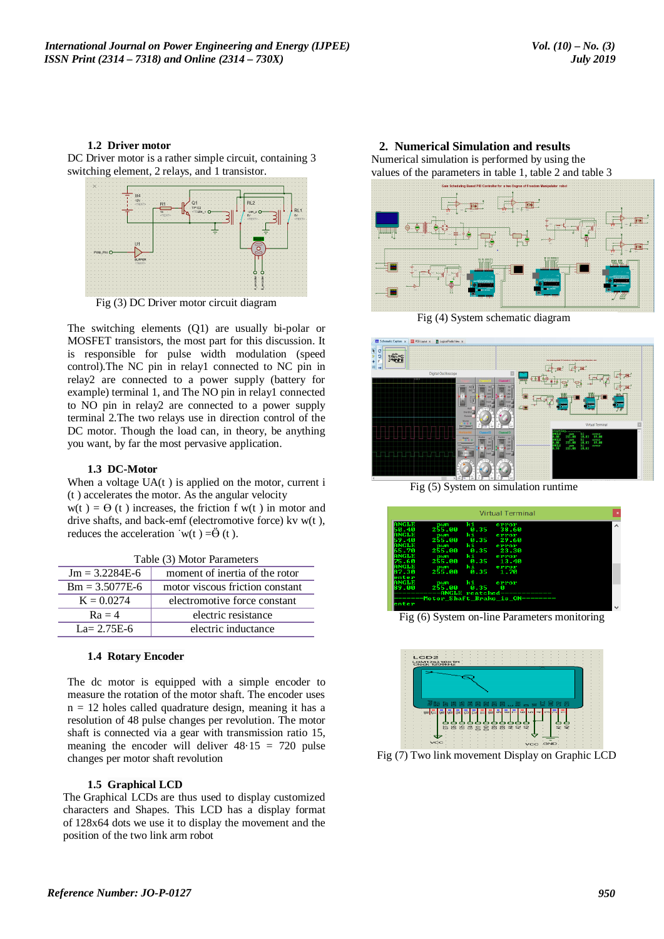#### **1.2 Driver motor**

DC Driver motor is a rather simple circuit, containing 3 switching element, 2 relays, and 1 transistor.



Fig (3) DC Driver motor circuit diagram

The switching elements (Q1) are usually bi-polar or MOSFET transistors, the most part for this discussion. It is responsible for pulse width modulation (speed control).The NC pin in relay1 connected to NC pin in relay2 are connected to a power supply (battery for example) terminal 1, and The NO pin in relay1 connected to NO pin in relay2 are connected to a power supply terminal 2.The two relays use in direction control of the DC motor. Though the load can, in theory, be anything you want, by far the most pervasive application.

#### **1.3 DC-Motor**

When a voltage  $UA(t)$  is applied on the motor, current i (t ) accelerates the motor. As the angular velocity  $w(t) = \Theta(t)$  increases, the friction f w(t) in motor and drive shafts, and back-emf (electromotive force) kv w(t ), reduces the acceleration  $\cdot w(t) = \ddot{\Theta}(t)$ .

| Table (3) Motor Parameters |                                 |  |  |
|----------------------------|---------------------------------|--|--|
| $Jm = 3.2284E-6$           | moment of inertia of the rotor  |  |  |
| $Bm = 3.5077E-6$           | motor viscous friction constant |  |  |
| $K = 0.0274$               | electromotive force constant    |  |  |
| $Ra = 4$                   | electric resistance             |  |  |
| $La = 2.75E-6$             | electric inductance             |  |  |

#### **1.4 Rotary Encoder**

The dc motor is equipped with a simple encoder to measure the rotation of the motor shaft. The encoder uses  $n = 12$  holes called quadrature design, meaning it has a resolution of 48 pulse changes per revolution. The motor shaft is connected via a gear with transmission ratio 15, meaning the encoder will deliver  $48.15 = 720$  pulse changes per motor shaft revolution

#### **1.5 Graphical LCD**

The Graphical LCDs are thus used to display customized characters and Shapes. This LCD has a display format of 128x64 dots we use it to display the movement and the position of the two link arm robot

**2. Numerical Simulation and results**  Numerical simulation is performed by using the values of the parameters in table 1, table 2 and table 3



Fig (4) System schematic diagram



Fig (5) System on simulation runtime



Fig (6) System on-line Parameters monitoring



Fig (7) Two link movement Display on Graphic LCD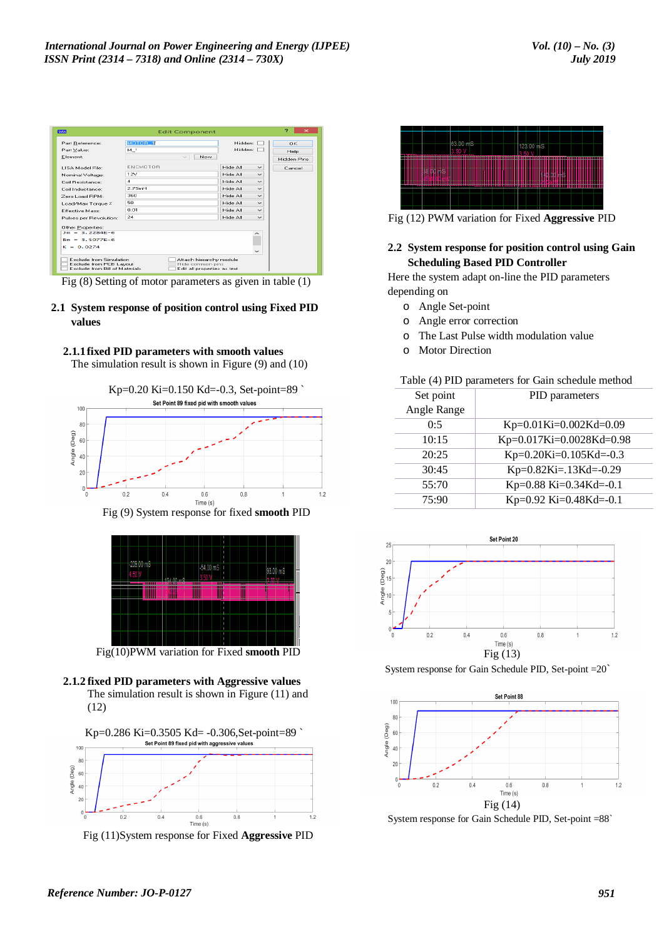| 临床                                                                                                                                                                 | <b>Edit Component</b>                                 |                          | ,<br>$\mathbf{\times}$           |
|--------------------------------------------------------------------------------------------------------------------------------------------------------------------|-------------------------------------------------------|--------------------------|----------------------------------|
| Part Reference:<br>Part Value:<br>Element:                                                                                                                         | MOTOR <sub>1</sub><br>M <sup>1</sup><br>New<br>$\sim$ | Hidden:<br>Hidden:       | OK<br><b>Help</b><br>Hidden Pins |
| LISA Model File:                                                                                                                                                   | <b>ENCMOTOB</b>                                       | Hide All<br>$\checkmark$ | Cancel                           |
| Nominal Voltage:                                                                                                                                                   | 12V                                                   | Hide All<br>$\checkmark$ |                                  |
| Coil Besistance:                                                                                                                                                   | $\boldsymbol{A}$                                      | Hide All<br>$\checkmark$ |                                  |
| Coil Inductance:                                                                                                                                                   | 2.75mH                                                | Hide All<br>$\checkmark$ |                                  |
| Zero Load BPM:                                                                                                                                                     | 360                                                   | Hide All<br>$\checkmark$ |                                  |
| Load/Max Torque %                                                                                                                                                  | 50.                                                   | Hide All<br>$\checkmark$ |                                  |
| <b>Effective Mass:</b>                                                                                                                                             | 0.01                                                  | Hide All<br>$\checkmark$ |                                  |
| Pulses per Revolution:                                                                                                                                             | 24                                                    | Hide All<br>$\checkmark$ |                                  |
| Other Properties:                                                                                                                                                  |                                                       |                          |                                  |
| $Im = 3.2284F - 6$                                                                                                                                                 |                                                       |                          |                                  |
| $Rm = 3.5077F - 6$                                                                                                                                                 |                                                       |                          |                                  |
| $K = 0.0274$                                                                                                                                                       |                                                       | $\checkmark$             |                                  |
| Exclude from Simulation<br>Attach hierarchy module<br>Exclude from PCB Layout<br>Hide common pins<br>Exclude from Bill of Materials<br>Edit all properties as text |                                                       |                          |                                  |

Fig (8) Setting of motor parameters as given in table (1)

# **2.1 System response of position control using Fixed PID values**



The simulation result is shown in Figure (9) and (10)



Fig (9) System response for fixed **smooth** PID



Fig(10)PWM variation for Fixed **smooth** PID





Fig (11)System response for Fixed **Aggressive** PID



Fig (12) PWM variation for Fixed **Aggressive** PID

## **2.2 System response for position control using Gain Scheduling Based PID Controller**

Here the system adapt on-line the PID parameters depending on

- o Angle Set-point
- o Angle error correction
- o The Last Pulse width modulation value
- o Motor Direction

#### Table (4) PID parameters for Gain schedule method

| Set point   | PID parameters                      |  |
|-------------|-------------------------------------|--|
| Angle Range |                                     |  |
| 0:5         | Kp= $0.01$ Ki= $0.002$ Kd= $0.09$   |  |
| 10:15       | Kp= $0.017$ Ki= $0.0028$ Kd= $0.98$ |  |
| 20:25       | $Kp=0.20$ Ki=0.105Kd=-0.3           |  |
| 30:45       | $Kp=0.82$ Ki=.13Kd=-0.29            |  |
| 55:70       | Kp=0.88 Ki=0.34Kd=-0.1              |  |
| 75:90       | Kp=0.92 Ki=0.48Kd=-0.1              |  |



System response for Gain Schedule PID, Set-point =20`



System response for Gain Schedule PID, Set-point =88`